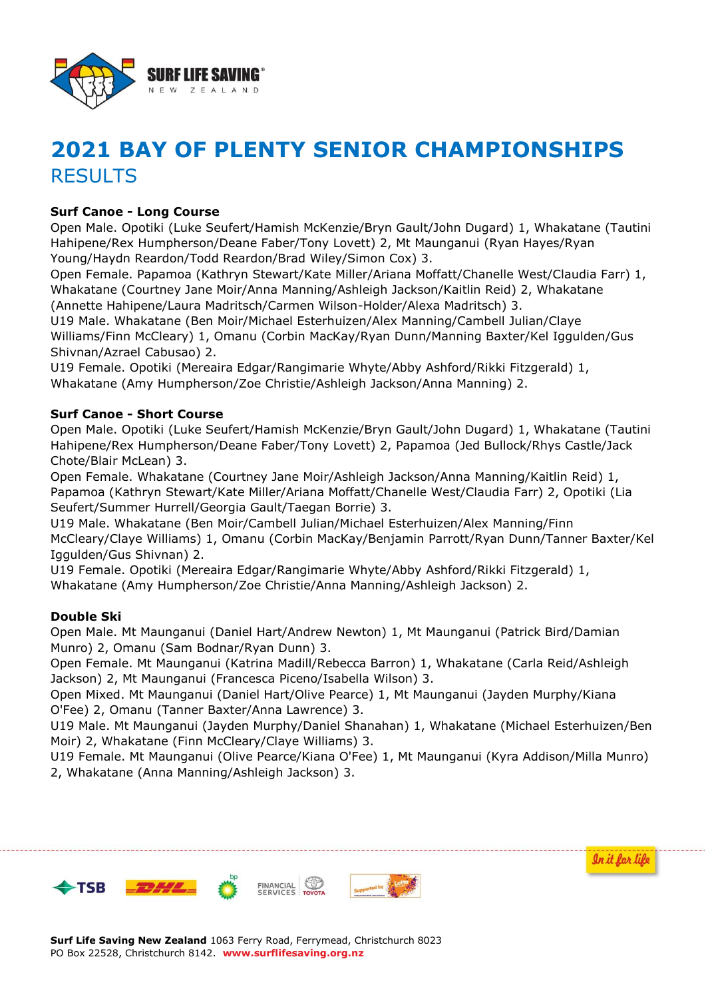

# **2021 BAY OF PLENTY SENIOR CHAMPIONSHIPS RESULTS**

# **Surf Canoe - Long Course**

Open Male. Opotiki (Luke Seufert/Hamish McKenzie/Bryn Gault/John Dugard) 1, Whakatane (Tautini Hahipene/Rex Humpherson/Deane Faber/Tony Lovett) 2, Mt Maunganui (Ryan Hayes/Ryan Young/Haydn Reardon/Todd Reardon/Brad Wiley/Simon Cox) 3.

Open Female. Papamoa (Kathryn Stewart/Kate Miller/Ariana Moffatt/Chanelle West/Claudia Farr) 1, Whakatane (Courtney Jane Moir/Anna Manning/Ashleigh Jackson/Kaitlin Reid) 2, Whakatane (Annette Hahipene/Laura Madritsch/Carmen Wilson-Holder/Alexa Madritsch) 3.

U19 Male. Whakatane (Ben Moir/Michael Esterhuizen/Alex Manning/Cambell Julian/Claye Williams/Finn McCleary) 1, Omanu (Corbin MacKay/Ryan Dunn/Manning Baxter/Kel Iggulden/Gus Shivnan/Azrael Cabusao) 2.

U19 Female. Opotiki (Mereaira Edgar/Rangimarie Whyte/Abby Ashford/Rikki Fitzgerald) 1, Whakatane (Amy Humpherson/Zoe Christie/Ashleigh Jackson/Anna Manning) 2.

#### **Surf Canoe - Short Course**

Open Male. Opotiki (Luke Seufert/Hamish McKenzie/Bryn Gault/John Dugard) 1, Whakatane (Tautini Hahipene/Rex Humpherson/Deane Faber/Tony Lovett) 2, Papamoa (Jed Bullock/Rhys Castle/Jack Chote/Blair McLean) 3.

Open Female. Whakatane (Courtney Jane Moir/Ashleigh Jackson/Anna Manning/Kaitlin Reid) 1, Papamoa (Kathryn Stewart/Kate Miller/Ariana Moffatt/Chanelle West/Claudia Farr) 2, Opotiki (Lia Seufert/Summer Hurrell/Georgia Gault/Taegan Borrie) 3.

U19 Male. Whakatane (Ben Moir/Cambell Julian/Michael Esterhuizen/Alex Manning/Finn McCleary/Claye Williams) 1, Omanu (Corbin MacKay/Benjamin Parrott/Ryan Dunn/Tanner Baxter/Kel Iggulden/Gus Shivnan) 2.

U19 Female. Opotiki (Mereaira Edgar/Rangimarie Whyte/Abby Ashford/Rikki Fitzgerald) 1, Whakatane (Amy Humpherson/Zoe Christie/Anna Manning/Ashleigh Jackson) 2.

## **Double Ski**

Open Male. Mt Maunganui (Daniel Hart/Andrew Newton) 1, Mt Maunganui (Patrick Bird/Damian Munro) 2, Omanu (Sam Bodnar/Ryan Dunn) 3.

Open Female. Mt Maunganui (Katrina Madill/Rebecca Barron) 1, Whakatane (Carla Reid/Ashleigh Jackson) 2, Mt Maunganui (Francesca Piceno/Isabella Wilson) 3.

Open Mixed. Mt Maunganui (Daniel Hart/Olive Pearce) 1, Mt Maunganui (Jayden Murphy/Kiana O'Fee) 2, Omanu (Tanner Baxter/Anna Lawrence) 3.

U19 Male. Mt Maunganui (Jayden Murphy/Daniel Shanahan) 1, Whakatane (Michael Esterhuizen/Ben Moir) 2, Whakatane (Finn McCleary/Claye Williams) 3.

U19 Female. Mt Maunganui (Olive Pearce/Kiana O'Fee) 1, Mt Maunganui (Kyra Addison/Milla Munro) 2, Whakatane (Anna Manning/Ashleigh Jackson) 3.

In it for life



**Surf Life Saving New Zealand** 1063 Ferry Road, Ferrymead, Christchurch 8023 PO Box 22528, Christchurch 8142. **www.surflifesaving.org.nz**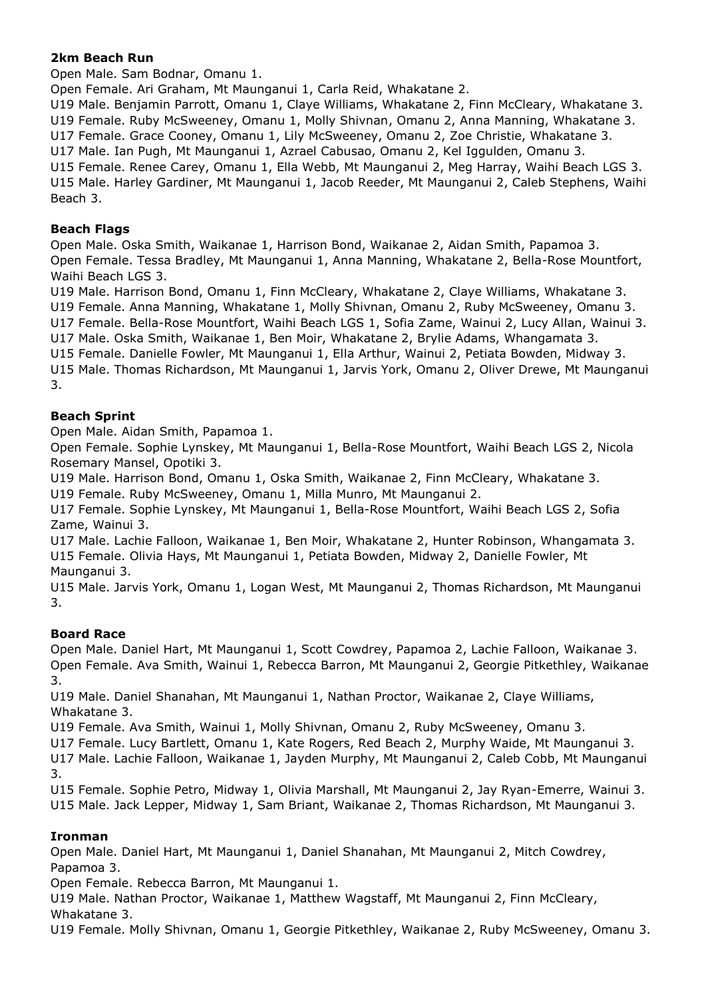# **2km Beach Run**

Open Male. Sam Bodnar, Omanu 1.

Open Female. Ari Graham, Mt Maunganui 1, Carla Reid, Whakatane 2.

U19 Male. Benjamin Parrott, Omanu 1, Claye Williams, Whakatane 2, Finn McCleary, Whakatane 3. U19 Female. Ruby McSweeney, Omanu 1, Molly Shivnan, Omanu 2, Anna Manning, Whakatane 3. U17 Female. Grace Cooney, Omanu 1, Lily McSweeney, Omanu 2, Zoe Christie, Whakatane 3. U17 Male. Ian Pugh, Mt Maunganui 1, Azrael Cabusao, Omanu 2, Kel Iggulden, Omanu 3. U15 Female. Renee Carey, Omanu 1, Ella Webb, Mt Maunganui 2, Meg Harray, Waihi Beach LGS 3. U15 Male. Harley Gardiner, Mt Maunganui 1, Jacob Reeder, Mt Maunganui 2, Caleb Stephens, Waihi Beach 3.

## **Beach Flags**

Open Male. Oska Smith, Waikanae 1, Harrison Bond, Waikanae 2, Aidan Smith, Papamoa 3. Open Female. Tessa Bradley, Mt Maunganui 1, Anna Manning, Whakatane 2, Bella-Rose Mountfort, Waihi Beach LGS 3.

U19 Male. Harrison Bond, Omanu 1, Finn McCleary, Whakatane 2, Claye Williams, Whakatane 3. U19 Female. Anna Manning, Whakatane 1, Molly Shivnan, Omanu 2, Ruby McSweeney, Omanu 3. U17 Female. Bella-Rose Mountfort, Waihi Beach LGS 1, Sofia Zame, Wainui 2, Lucy Allan, Wainui 3.

U17 Male. Oska Smith, Waikanae 1, Ben Moir, Whakatane 2, Brylie Adams, Whangamata 3.

U15 Female. Danielle Fowler, Mt Maunganui 1, Ella Arthur, Wainui 2, Petiata Bowden, Midway 3. U15 Male. Thomas Richardson, Mt Maunganui 1, Jarvis York, Omanu 2, Oliver Drewe, Mt Maunganui 3.

# **Beach Sprint**

Open Male. Aidan Smith, Papamoa 1.

Open Female. Sophie Lynskey, Mt Maunganui 1, Bella-Rose Mountfort, Waihi Beach LGS 2, Nicola Rosemary Mansel, Opotiki 3.

U19 Male. Harrison Bond, Omanu 1, Oska Smith, Waikanae 2, Finn McCleary, Whakatane 3.

U19 Female. Ruby McSweeney, Omanu 1, Milla Munro, Mt Maunganui 2.

U17 Female. Sophie Lynskey, Mt Maunganui 1, Bella-Rose Mountfort, Waihi Beach LGS 2, Sofia Zame, Wainui 3.

U17 Male. Lachie Falloon, Waikanae 1, Ben Moir, Whakatane 2, Hunter Robinson, Whangamata 3. U15 Female. Olivia Hays, Mt Maunganui 1, Petiata Bowden, Midway 2, Danielle Fowler, Mt Maunganui 3.

U15 Male. Jarvis York, Omanu 1, Logan West, Mt Maunganui 2, Thomas Richardson, Mt Maunganui 3.

## **Board Race**

Open Male. Daniel Hart, Mt Maunganui 1, Scott Cowdrey, Papamoa 2, Lachie Falloon, Waikanae 3. Open Female. Ava Smith, Wainui 1, Rebecca Barron, Mt Maunganui 2, Georgie Pitkethley, Waikanae 3.

U19 Male. Daniel Shanahan, Mt Maunganui 1, Nathan Proctor, Waikanae 2, Claye Williams, Whakatane 3.

U19 Female. Ava Smith, Wainui 1, Molly Shivnan, Omanu 2, Ruby McSweeney, Omanu 3.

U17 Female. Lucy Bartlett, Omanu 1, Kate Rogers, Red Beach 2, Murphy Waide, Mt Maunganui 3. U17 Male. Lachie Falloon, Waikanae 1, Jayden Murphy, Mt Maunganui 2, Caleb Cobb, Mt Maunganui

3.

U15 Female. Sophie Petro, Midway 1, Olivia Marshall, Mt Maunganui 2, Jay Ryan-Emerre, Wainui 3. U15 Male. Jack Lepper, Midway 1, Sam Briant, Waikanae 2, Thomas Richardson, Mt Maunganui 3.

## **Ironman**

Open Male. Daniel Hart, Mt Maunganui 1, Daniel Shanahan, Mt Maunganui 2, Mitch Cowdrey, Papamoa 3.

Open Female. Rebecca Barron, Mt Maunganui 1.

U19 Male. Nathan Proctor, Waikanae 1, Matthew Wagstaff, Mt Maunganui 2, Finn McCleary, Whakatane 3.

U19 Female. Molly Shivnan, Omanu 1, Georgie Pitkethley, Waikanae 2, Ruby McSweeney, Omanu 3.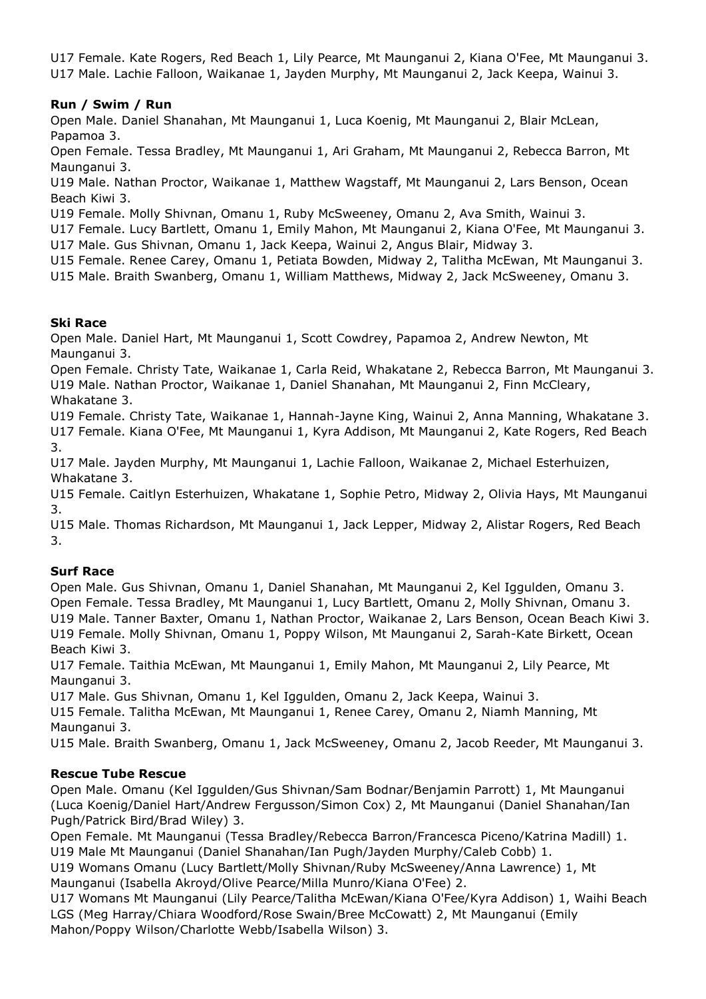U17 Female. Kate Rogers, Red Beach 1, Lily Pearce, Mt Maunganui 2, Kiana O'Fee, Mt Maunganui 3. U17 Male. Lachie Falloon, Waikanae 1, Jayden Murphy, Mt Maunganui 2, Jack Keepa, Wainui 3.

# **Run / Swim / Run**

Open Male. Daniel Shanahan, Mt Maunganui 1, Luca Koenig, Mt Maunganui 2, Blair McLean, Papamoa 3.

Open Female. Tessa Bradley, Mt Maunganui 1, Ari Graham, Mt Maunganui 2, Rebecca Barron, Mt Maunganui 3.

U19 Male. Nathan Proctor, Waikanae 1, Matthew Wagstaff, Mt Maunganui 2, Lars Benson, Ocean Beach Kiwi 3.

U19 Female. Molly Shivnan, Omanu 1, Ruby McSweeney, Omanu 2, Ava Smith, Wainui 3.

U17 Female. Lucy Bartlett, Omanu 1, Emily Mahon, Mt Maunganui 2, Kiana O'Fee, Mt Maunganui 3. U17 Male. Gus Shivnan, Omanu 1, Jack Keepa, Wainui 2, Angus Blair, Midway 3.

U15 Female. Renee Carey, Omanu 1, Petiata Bowden, Midway 2, Talitha McEwan, Mt Maunganui 3.

U15 Male. Braith Swanberg, Omanu 1, William Matthews, Midway 2, Jack McSweeney, Omanu 3.

## **Ski Race**

Open Male. Daniel Hart, Mt Maunganui 1, Scott Cowdrey, Papamoa 2, Andrew Newton, Mt Maunganui 3.

Open Female. Christy Tate, Waikanae 1, Carla Reid, Whakatane 2, Rebecca Barron, Mt Maunganui 3. U19 Male. Nathan Proctor, Waikanae 1, Daniel Shanahan, Mt Maunganui 2, Finn McCleary, Whakatane 3.

U19 Female. Christy Tate, Waikanae 1, Hannah-Jayne King, Wainui 2, Anna Manning, Whakatane 3. U17 Female. Kiana O'Fee, Mt Maunganui 1, Kyra Addison, Mt Maunganui 2, Kate Rogers, Red Beach 3.

U17 Male. Jayden Murphy, Mt Maunganui 1, Lachie Falloon, Waikanae 2, Michael Esterhuizen, Whakatane 3.

U15 Female. Caitlyn Esterhuizen, Whakatane 1, Sophie Petro, Midway 2, Olivia Hays, Mt Maunganui 3.

U15 Male. Thomas Richardson, Mt Maunganui 1, Jack Lepper, Midway 2, Alistar Rogers, Red Beach 3.

## **Surf Race**

Open Male. Gus Shivnan, Omanu 1, Daniel Shanahan, Mt Maunganui 2, Kel Iggulden, Omanu 3. Open Female. Tessa Bradley, Mt Maunganui 1, Lucy Bartlett, Omanu 2, Molly Shivnan, Omanu 3. U19 Male. Tanner Baxter, Omanu 1, Nathan Proctor, Waikanae 2, Lars Benson, Ocean Beach Kiwi 3. U19 Female. Molly Shivnan, Omanu 1, Poppy Wilson, Mt Maunganui 2, Sarah-Kate Birkett, Ocean Beach Kiwi 3.

U17 Female. Taithia McEwan, Mt Maunganui 1, Emily Mahon, Mt Maunganui 2, Lily Pearce, Mt Maunganui 3.

U17 Male. Gus Shivnan, Omanu 1, Kel Iggulden, Omanu 2, Jack Keepa, Wainui 3.

U15 Female. Talitha McEwan, Mt Maunganui 1, Renee Carey, Omanu 2, Niamh Manning, Mt Maunganui 3.

U15 Male. Braith Swanberg, Omanu 1, Jack McSweeney, Omanu 2, Jacob Reeder, Mt Maunganui 3.

## **Rescue Tube Rescue**

Open Male. Omanu (Kel Iggulden/Gus Shivnan/Sam Bodnar/Benjamin Parrott) 1, Mt Maunganui (Luca Koenig/Daniel Hart/Andrew Fergusson/Simon Cox) 2, Mt Maunganui (Daniel Shanahan/Ian Pugh/Patrick Bird/Brad Wiley) 3.

Open Female. Mt Maunganui (Tessa Bradley/Rebecca Barron/Francesca Piceno/Katrina Madill) 1. U19 Male Mt Maunganui (Daniel Shanahan/Ian Pugh/Jayden Murphy/Caleb Cobb) 1.

U19 Womans Omanu (Lucy Bartlett/Molly Shivnan/Ruby McSweeney/Anna Lawrence) 1, Mt Maunganui (Isabella Akroyd/Olive Pearce/Milla Munro/Kiana O'Fee) 2.

U17 Womans Mt Maunganui (Lily Pearce/Talitha McEwan/Kiana O'Fee/Kyra Addison) 1, Waihi Beach LGS (Meg Harray/Chiara Woodford/Rose Swain/Bree McCowatt) 2, Mt Maunganui (Emily Mahon/Poppy Wilson/Charlotte Webb/Isabella Wilson) 3.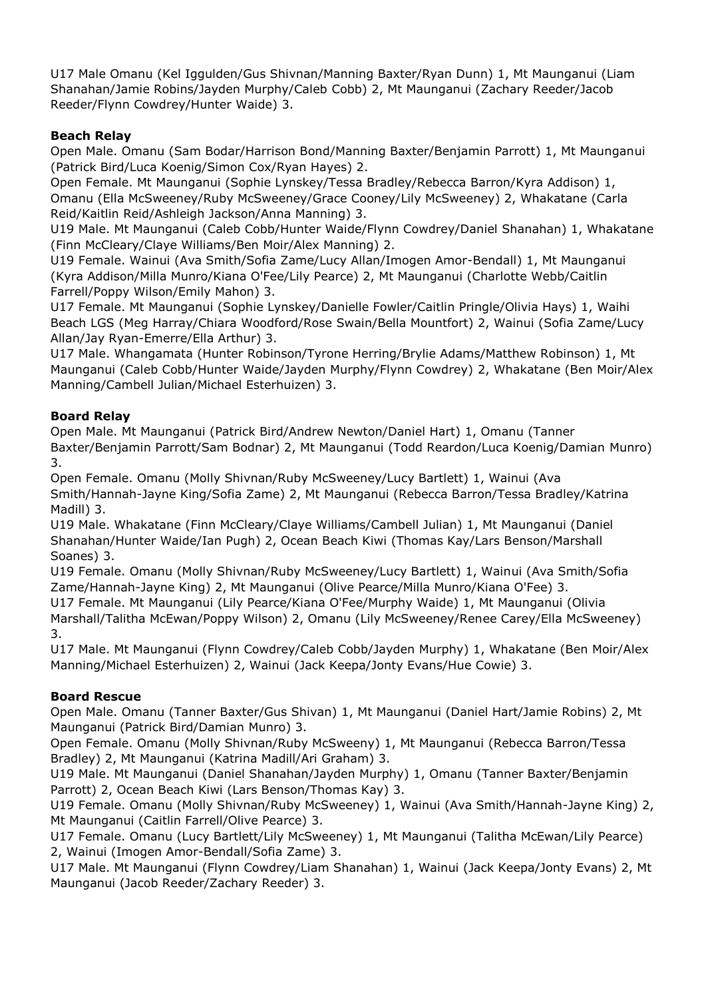U17 Male Omanu (Kel Iggulden/Gus Shivnan/Manning Baxter/Ryan Dunn) 1, Mt Maunganui (Liam Shanahan/Jamie Robins/Jayden Murphy/Caleb Cobb) 2, Mt Maunganui (Zachary Reeder/Jacob Reeder/Flynn Cowdrey/Hunter Waide) 3.

# **Beach Relay**

Open Male. Omanu (Sam Bodar/Harrison Bond/Manning Baxter/Benjamin Parrott) 1, Mt Maunganui (Patrick Bird/Luca Koenig/Simon Cox/Ryan Hayes) 2.

Open Female. Mt Maunganui (Sophie Lynskey/Tessa Bradley/Rebecca Barron/Kyra Addison) 1, Omanu (Ella McSweeney/Ruby McSweeney/Grace Cooney/Lily McSweeney) 2, Whakatane (Carla Reid/Kaitlin Reid/Ashleigh Jackson/Anna Manning) 3.

U19 Male. Mt Maunganui (Caleb Cobb/Hunter Waide/Flynn Cowdrey/Daniel Shanahan) 1, Whakatane (Finn McCleary/Claye Williams/Ben Moir/Alex Manning) 2.

U19 Female. Wainui (Ava Smith/Sofia Zame/Lucy Allan/Imogen Amor-Bendall) 1, Mt Maunganui (Kyra Addison/Milla Munro/Kiana O'Fee/Lily Pearce) 2, Mt Maunganui (Charlotte Webb/Caitlin Farrell/Poppy Wilson/Emily Mahon) 3.

U17 Female. Mt Maunganui (Sophie Lynskey/Danielle Fowler/Caitlin Pringle/Olivia Hays) 1, Waihi Beach LGS (Meg Harray/Chiara Woodford/Rose Swain/Bella Mountfort) 2, Wainui (Sofia Zame/Lucy Allan/Jay Ryan-Emerre/Ella Arthur) 3.

U17 Male. Whangamata (Hunter Robinson/Tyrone Herring/Brylie Adams/Matthew Robinson) 1, Mt Maunganui (Caleb Cobb/Hunter Waide/Jayden Murphy/Flynn Cowdrey) 2, Whakatane (Ben Moir/Alex Manning/Cambell Julian/Michael Esterhuizen) 3.

# **Board Relay**

Open Male. Mt Maunganui (Patrick Bird/Andrew Newton/Daniel Hart) 1, Omanu (Tanner Baxter/Benjamin Parrott/Sam Bodnar) 2, Mt Maunganui (Todd Reardon/Luca Koenig/Damian Munro) 3.

Open Female. Omanu (Molly Shivnan/Ruby McSweeney/Lucy Bartlett) 1, Wainui (Ava Smith/Hannah-Jayne King/Sofia Zame) 2, Mt Maunganui (Rebecca Barron/Tessa Bradley/Katrina Madill) 3.

U19 Male. Whakatane (Finn McCleary/Claye Williams/Cambell Julian) 1, Mt Maunganui (Daniel Shanahan/Hunter Waide/Ian Pugh) 2, Ocean Beach Kiwi (Thomas Kay/Lars Benson/Marshall Soanes) 3.

U19 Female. Omanu (Molly Shivnan/Ruby McSweeney/Lucy Bartlett) 1, Wainui (Ava Smith/Sofia Zame/Hannah-Jayne King) 2, Mt Maunganui (Olive Pearce/Milla Munro/Kiana O'Fee) 3. U17 Female. Mt Maunganui (Lily Pearce/Kiana O'Fee/Murphy Waide) 1, Mt Maunganui (Olivia Marshall/Talitha McEwan/Poppy Wilson) 2, Omanu (Lily McSweeney/Renee Carey/Ella McSweeney) 3.

U17 Male. Mt Maunganui (Flynn Cowdrey/Caleb Cobb/Jayden Murphy) 1, Whakatane (Ben Moir/Alex Manning/Michael Esterhuizen) 2, Wainui (Jack Keepa/Jonty Evans/Hue Cowie) 3.

# **Board Rescue**

Open Male. Omanu (Tanner Baxter/Gus Shivan) 1, Mt Maunganui (Daniel Hart/Jamie Robins) 2, Mt Maunganui (Patrick Bird/Damian Munro) 3.

Open Female. Omanu (Molly Shivnan/Ruby McSweeny) 1, Mt Maunganui (Rebecca Barron/Tessa Bradley) 2, Mt Maunganui (Katrina Madill/Ari Graham) 3.

U19 Male. Mt Maunganui (Daniel Shanahan/Jayden Murphy) 1, Omanu (Tanner Baxter/Benjamin Parrott) 2, Ocean Beach Kiwi (Lars Benson/Thomas Kay) 3.

U19 Female. Omanu (Molly Shivnan/Ruby McSweeney) 1, Wainui (Ava Smith/Hannah-Jayne King) 2, Mt Maunganui (Caitlin Farrell/Olive Pearce) 3.

U17 Female. Omanu (Lucy Bartlett/Lily McSweeney) 1, Mt Maunganui (Talitha McEwan/Lily Pearce) 2, Wainui (Imogen Amor-Bendall/Sofia Zame) 3.

U17 Male. Mt Maunganui (Flynn Cowdrey/Liam Shanahan) 1, Wainui (Jack Keepa/Jonty Evans) 2, Mt Maunganui (Jacob Reeder/Zachary Reeder) 3.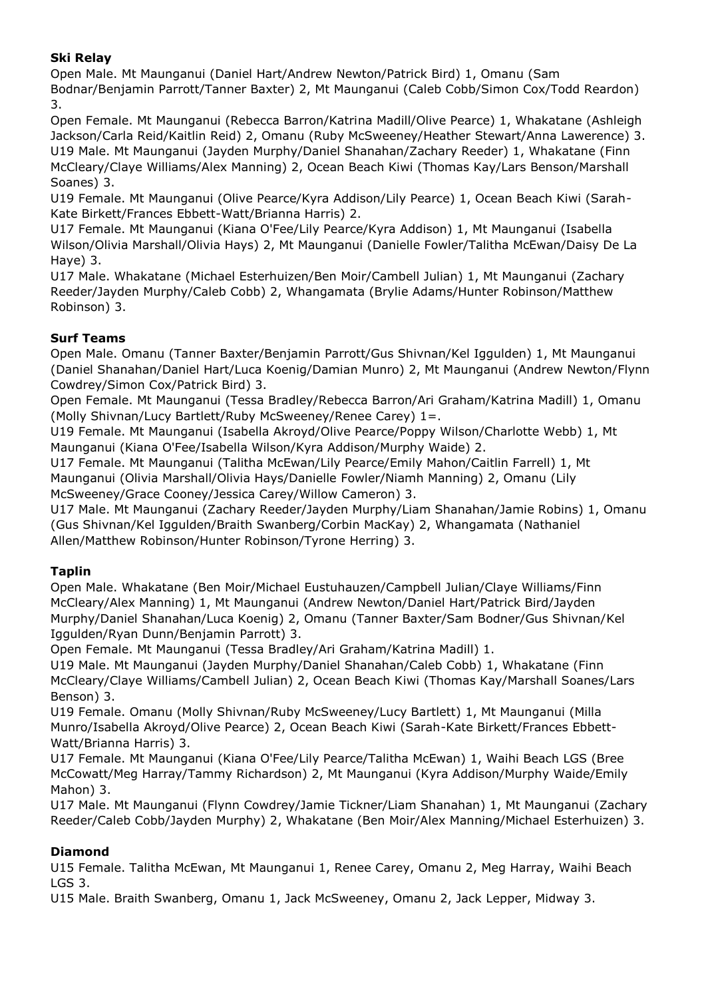# **Ski Relay**

Open Male. Mt Maunganui (Daniel Hart/Andrew Newton/Patrick Bird) 1, Omanu (Sam Bodnar/Benjamin Parrott/Tanner Baxter) 2, Mt Maunganui (Caleb Cobb/Simon Cox/Todd Reardon) 3.

Open Female. Mt Maunganui (Rebecca Barron/Katrina Madill/Olive Pearce) 1, Whakatane (Ashleigh Jackson/Carla Reid/Kaitlin Reid) 2, Omanu (Ruby McSweeney/Heather Stewart/Anna Lawerence) 3. U19 Male. Mt Maunganui (Jayden Murphy/Daniel Shanahan/Zachary Reeder) 1, Whakatane (Finn McCleary/Claye Williams/Alex Manning) 2, Ocean Beach Kiwi (Thomas Kay/Lars Benson/Marshall Soanes) 3.

U19 Female. Mt Maunganui (Olive Pearce/Kyra Addison/Lily Pearce) 1, Ocean Beach Kiwi (Sarah-Kate Birkett/Frances Ebbett-Watt/Brianna Harris) 2.

U17 Female. Mt Maunganui (Kiana O'Fee/Lily Pearce/Kyra Addison) 1, Mt Maunganui (Isabella Wilson/Olivia Marshall/Olivia Hays) 2, Mt Maunganui (Danielle Fowler/Talitha McEwan/Daisy De La Haye) 3.

U17 Male. Whakatane (Michael Esterhuizen/Ben Moir/Cambell Julian) 1, Mt Maunganui (Zachary Reeder/Jayden Murphy/Caleb Cobb) 2, Whangamata (Brylie Adams/Hunter Robinson/Matthew Robinson) 3.

# **Surf Teams**

Open Male. Omanu (Tanner Baxter/Benjamin Parrott/Gus Shivnan/Kel Iggulden) 1, Mt Maunganui (Daniel Shanahan/Daniel Hart/Luca Koenig/Damian Munro) 2, Mt Maunganui (Andrew Newton/Flynn Cowdrey/Simon Cox/Patrick Bird) 3.

Open Female. Mt Maunganui (Tessa Bradley/Rebecca Barron/Ari Graham/Katrina Madill) 1, Omanu (Molly Shivnan/Lucy Bartlett/Ruby McSweeney/Renee Carey) 1=.

U19 Female. Mt Maunganui (Isabella Akroyd/Olive Pearce/Poppy Wilson/Charlotte Webb) 1, Mt Maunganui (Kiana O'Fee/Isabella Wilson/Kyra Addison/Murphy Waide) 2.

U17 Female. Mt Maunganui (Talitha McEwan/Lily Pearce/Emily Mahon/Caitlin Farrell) 1, Mt Maunganui (Olivia Marshall/Olivia Hays/Danielle Fowler/Niamh Manning) 2, Omanu (Lily McSweeney/Grace Cooney/Jessica Carey/Willow Cameron) 3.

U17 Male. Mt Maunganui (Zachary Reeder/Jayden Murphy/Liam Shanahan/Jamie Robins) 1, Omanu (Gus Shivnan/Kel Iggulden/Braith Swanberg/Corbin MacKay) 2, Whangamata (Nathaniel Allen/Matthew Robinson/Hunter Robinson/Tyrone Herring) 3.

# **Taplin**

Open Male. Whakatane (Ben Moir/Michael Eustuhauzen/Campbell Julian/Claye Williams/Finn McCleary/Alex Manning) 1, Mt Maunganui (Andrew Newton/Daniel Hart/Patrick Bird/Jayden Murphy/Daniel Shanahan/Luca Koenig) 2, Omanu (Tanner Baxter/Sam Bodner/Gus Shivnan/Kel Iggulden/Ryan Dunn/Benjamin Parrott) 3.

Open Female. Mt Maunganui (Tessa Bradley/Ari Graham/Katrina Madill) 1.

U19 Male. Mt Maunganui (Jayden Murphy/Daniel Shanahan/Caleb Cobb) 1, Whakatane (Finn McCleary/Claye Williams/Cambell Julian) 2, Ocean Beach Kiwi (Thomas Kay/Marshall Soanes/Lars Benson) 3.

U19 Female. Omanu (Molly Shivnan/Ruby McSweeney/Lucy Bartlett) 1, Mt Maunganui (Milla Munro/Isabella Akroyd/Olive Pearce) 2, Ocean Beach Kiwi (Sarah-Kate Birkett/Frances Ebbett-Watt/Brianna Harris) 3.

U17 Female. Mt Maunganui (Kiana O'Fee/Lily Pearce/Talitha McEwan) 1, Waihi Beach LGS (Bree McCowatt/Meg Harray/Tammy Richardson) 2, Mt Maunganui (Kyra Addison/Murphy Waide/Emily Mahon) 3.

U17 Male. Mt Maunganui (Flynn Cowdrey/Jamie Tickner/Liam Shanahan) 1, Mt Maunganui (Zachary Reeder/Caleb Cobb/Jayden Murphy) 2, Whakatane (Ben Moir/Alex Manning/Michael Esterhuizen) 3.

# **Diamond**

U15 Female. Talitha McEwan, Mt Maunganui 1, Renee Carey, Omanu 2, Meg Harray, Waihi Beach LGS 3.

U15 Male. Braith Swanberg, Omanu 1, Jack McSweeney, Omanu 2, Jack Lepper, Midway 3.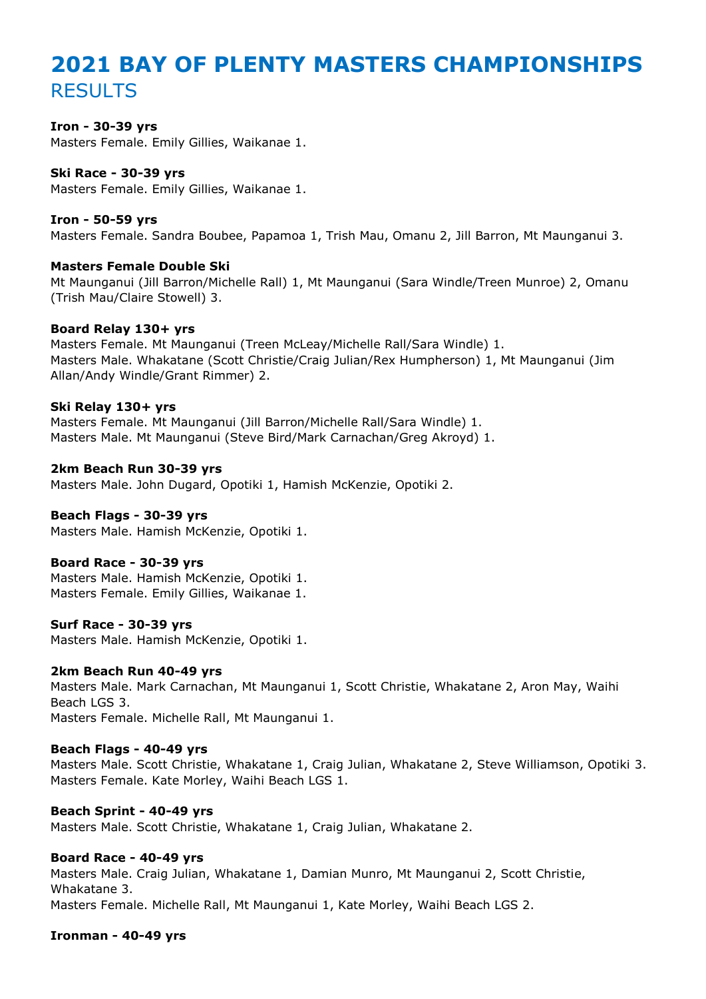# **2021 BAY OF PLENTY MASTERS CHAMPIONSHIPS** RESULTS

#### **Iron - 30-39 yrs**

Masters Female. Emily Gillies, Waikanae 1.

# **Ski Race - 30-39 yrs**

Masters Female. Emily Gillies, Waikanae 1.

#### **Iron - 50-59 yrs**

Masters Female. Sandra Boubee, Papamoa 1, Trish Mau, Omanu 2, Jill Barron, Mt Maunganui 3.

#### **Masters Female Double Ski**

Mt Maunganui (Jill Barron/Michelle Rall) 1, Mt Maunganui (Sara Windle/Treen Munroe) 2, Omanu (Trish Mau/Claire Stowell) 3.

#### **Board Relay 130+ yrs**

Masters Female. Mt Maunganui (Treen McLeay/Michelle Rall/Sara Windle) 1. Masters Male. Whakatane (Scott Christie/Craig Julian/Rex Humpherson) 1, Mt Maunganui (Jim Allan/Andy Windle/Grant Rimmer) 2.

#### **Ski Relay 130+ yrs**

Masters Female. Mt Maunganui (Jill Barron/Michelle Rall/Sara Windle) 1. Masters Male. Mt Maunganui (Steve Bird/Mark Carnachan/Greg Akroyd) 1.

#### **2km Beach Run 30-39 yrs**

Masters Male. John Dugard, Opotiki 1, Hamish McKenzie, Opotiki 2.

#### **Beach Flags - 30-39 yrs**

Masters Male. Hamish McKenzie, Opotiki 1.

#### **Board Race - 30-39 yrs**

Masters Male. Hamish McKenzie, Opotiki 1. Masters Female. Emily Gillies, Waikanae 1.

#### **Surf Race - 30-39 yrs**

Masters Male. Hamish McKenzie, Opotiki 1.

#### **2km Beach Run 40-49 yrs**

Masters Male. Mark Carnachan, Mt Maunganui 1, Scott Christie, Whakatane 2, Aron May, Waihi Beach LGS 3.

Masters Female. Michelle Rall, Mt Maunganui 1.

#### **Beach Flags - 40-49 yrs**

Masters Male. Scott Christie, Whakatane 1, Craig Julian, Whakatane 2, Steve Williamson, Opotiki 3. Masters Female. Kate Morley, Waihi Beach LGS 1.

#### **Beach Sprint - 40-49 yrs**

Masters Male. Scott Christie, Whakatane 1, Craig Julian, Whakatane 2.

#### **Board Race - 40-49 yrs**

Masters Male. Craig Julian, Whakatane 1, Damian Munro, Mt Maunganui 2, Scott Christie, Whakatane 3.

Masters Female. Michelle Rall, Mt Maunganui 1, Kate Morley, Waihi Beach LGS 2.

#### **Ironman - 40-49 yrs**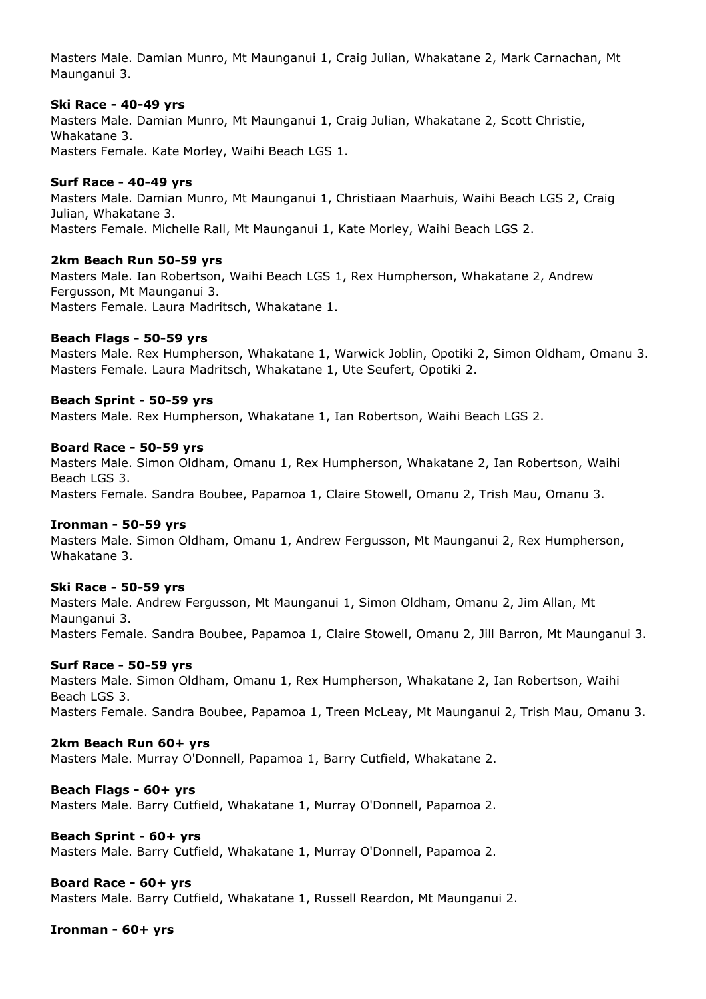Masters Male. Damian Munro, Mt Maunganui 1, Craig Julian, Whakatane 2, Mark Carnachan, Mt Maunganui 3.

#### **Ski Race - 40-49 yrs**

Masters Male. Damian Munro, Mt Maunganui 1, Craig Julian, Whakatane 2, Scott Christie, Whakatane 3. Masters Female. Kate Morley, Waihi Beach LGS 1.

#### **Surf Race - 40-49 yrs**

Masters Male. Damian Munro, Mt Maunganui 1, Christiaan Maarhuis, Waihi Beach LGS 2, Craig Julian, Whakatane 3. Masters Female. Michelle Rall, Mt Maunganui 1, Kate Morley, Waihi Beach LGS 2.

#### **2km Beach Run 50-59 yrs**

Masters Male. Ian Robertson, Waihi Beach LGS 1, Rex Humpherson, Whakatane 2, Andrew Fergusson, Mt Maunganui 3. Masters Female. Laura Madritsch, Whakatane 1.

#### **Beach Flags - 50-59 yrs**

Masters Male. Rex Humpherson, Whakatane 1, Warwick Joblin, Opotiki 2, Simon Oldham, Omanu 3. Masters Female. Laura Madritsch, Whakatane 1, Ute Seufert, Opotiki 2.

#### **Beach Sprint - 50-59 yrs**

Masters Male. Rex Humpherson, Whakatane 1, Ian Robertson, Waihi Beach LGS 2.

#### **Board Race - 50-59 yrs**

Masters Male. Simon Oldham, Omanu 1, Rex Humpherson, Whakatane 2, Ian Robertson, Waihi Beach LGS 3. Masters Female. Sandra Boubee, Papamoa 1, Claire Stowell, Omanu 2, Trish Mau, Omanu 3.

#### **Ironman - 50-59 yrs**

Masters Male. Simon Oldham, Omanu 1, Andrew Fergusson, Mt Maunganui 2, Rex Humpherson, Whakatane 3.

#### **Ski Race - 50-59 yrs**

Masters Male. Andrew Fergusson, Mt Maunganui 1, Simon Oldham, Omanu 2, Jim Allan, Mt Maunganui 3. Masters Female. Sandra Boubee, Papamoa 1, Claire Stowell, Omanu 2, Jill Barron, Mt Maunganui 3.

#### **Surf Race - 50-59 yrs**

Masters Male. Simon Oldham, Omanu 1, Rex Humpherson, Whakatane 2, Ian Robertson, Waihi Beach LGS 3. Masters Female. Sandra Boubee, Papamoa 1, Treen McLeay, Mt Maunganui 2, Trish Mau, Omanu 3.

#### **2km Beach Run 60+ yrs**

Masters Male. Murray O'Donnell, Papamoa 1, Barry Cutfield, Whakatane 2.

#### **Beach Flags - 60+ yrs**

Masters Male. Barry Cutfield, Whakatane 1, Murray O'Donnell, Papamoa 2.

#### **Beach Sprint - 60+ yrs**

Masters Male. Barry Cutfield, Whakatane 1, Murray O'Donnell, Papamoa 2.

#### **Board Race - 60+ yrs**

Masters Male. Barry Cutfield, Whakatane 1, Russell Reardon, Mt Maunganui 2.

#### **Ironman - 60+ yrs**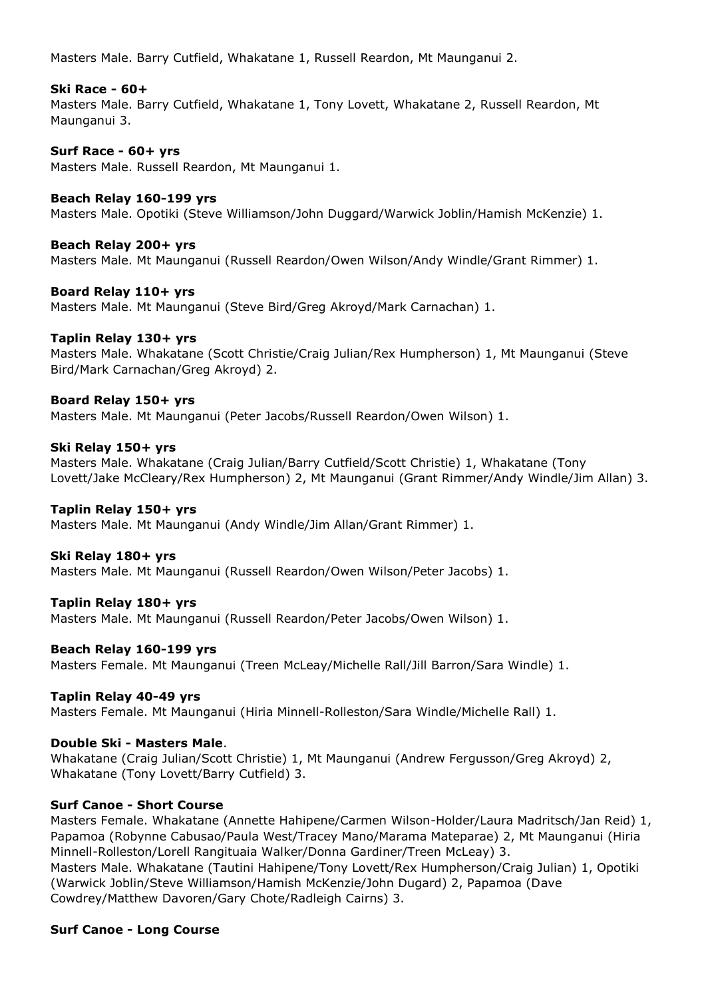Masters Male. Barry Cutfield, Whakatane 1, Russell Reardon, Mt Maunganui 2.

#### **Ski Race - 60+**

Masters Male. Barry Cutfield, Whakatane 1, Tony Lovett, Whakatane 2, Russell Reardon, Mt Maunganui 3.

#### **Surf Race - 60+ yrs**

Masters Male. Russell Reardon, Mt Maunganui 1.

#### **Beach Relay 160-199 yrs**

Masters Male. Opotiki (Steve Williamson/John Duggard/Warwick Joblin/Hamish McKenzie) 1.

**Beach Relay 200+ yrs** Masters Male. Mt Maunganui (Russell Reardon/Owen Wilson/Andy Windle/Grant Rimmer) 1.

**Board Relay 110+ yrs** Masters Male. Mt Maunganui (Steve Bird/Greg Akroyd/Mark Carnachan) 1.

#### **Taplin Relay 130+ yrs**

Masters Male. Whakatane (Scott Christie/Craig Julian/Rex Humpherson) 1, Mt Maunganui (Steve Bird/Mark Carnachan/Greg Akroyd) 2.

#### **Board Relay 150+ yrs**

Masters Male. Mt Maunganui (Peter Jacobs/Russell Reardon/Owen Wilson) 1.

#### **Ski Relay 150+ yrs**

Masters Male. Whakatane (Craig Julian/Barry Cutfield/Scott Christie) 1, Whakatane (Tony Lovett/Jake McCleary/Rex Humpherson) 2, Mt Maunganui (Grant Rimmer/Andy Windle/Jim Allan) 3.

#### **Taplin Relay 150+ yrs**

Masters Male. Mt Maunganui (Andy Windle/Jim Allan/Grant Rimmer) 1.

#### **Ski Relay 180+ yrs**

Masters Male. Mt Maunganui (Russell Reardon/Owen Wilson/Peter Jacobs) 1.

#### **Taplin Relay 180+ yrs**

Masters Male. Mt Maunganui (Russell Reardon/Peter Jacobs/Owen Wilson) 1.

#### **Beach Relay 160-199 yrs**

Masters Female. Mt Maunganui (Treen McLeay/Michelle Rall/Jill Barron/Sara Windle) 1.

#### **Taplin Relay 40-49 yrs**

Masters Female. Mt Maunganui (Hiria Minnell-Rolleston/Sara Windle/Michelle Rall) 1.

#### **Double Ski - Masters Male**.

Whakatane (Craig Julian/Scott Christie) 1, Mt Maunganui (Andrew Fergusson/Greg Akroyd) 2, Whakatane (Tony Lovett/Barry Cutfield) 3.

#### **Surf Canoe - Short Course**

Masters Female. Whakatane (Annette Hahipene/Carmen Wilson-Holder/Laura Madritsch/Jan Reid) 1, Papamoa (Robynne Cabusao/Paula West/Tracey Mano/Marama Mateparae) 2, Mt Maunganui (Hiria Minnell-Rolleston/Lorell Rangituaia Walker/Donna Gardiner/Treen McLeay) 3. Masters Male. Whakatane (Tautini Hahipene/Tony Lovett/Rex Humpherson/Craig Julian) 1, Opotiki (Warwick Joblin/Steve Williamson/Hamish McKenzie/John Dugard) 2, Papamoa (Dave Cowdrey/Matthew Davoren/Gary Chote/Radleigh Cairns) 3.

## **Surf Canoe - Long Course**